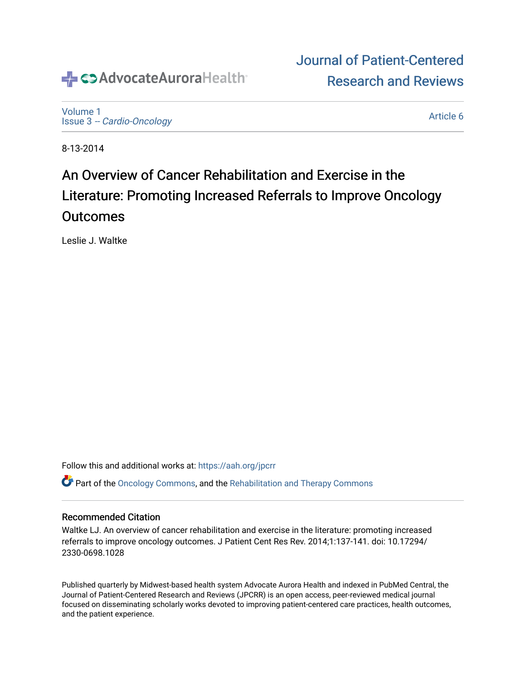

[Volume 1](https://institutionalrepository.aah.org/jpcrr/vol1) Issue 3 [-- Cardio-Oncology](https://institutionalrepository.aah.org/jpcrr/vol1/iss3) 

[Article 6](https://institutionalrepository.aah.org/jpcrr/vol1/iss3/6) 

[Journal of Patient-Centered](https://institutionalrepository.aah.org/jpcrr) 

[Research and Reviews](https://institutionalrepository.aah.org/jpcrr) 

8-13-2014

# An Overview of Cancer Rehabilitation and Exercise in the Literature: Promoting Increased Referrals to Improve Oncology Outcomes

Leslie J. Waltke

Follow this and additional works at: [https://aah.org/jpcrr](https://institutionalrepository.aah.org/jpcrr?utm_source=institutionalrepository.aah.org%2Fjpcrr%2Fvol1%2Fiss3%2F6&utm_medium=PDF&utm_campaign=PDFCoverPages) 

Part of the [Oncology Commons,](http://network.bepress.com/hgg/discipline/694?utm_source=institutionalrepository.aah.org%2Fjpcrr%2Fvol1%2Fiss3%2F6&utm_medium=PDF&utm_campaign=PDFCoverPages) and the [Rehabilitation and Therapy Commons](http://network.bepress.com/hgg/discipline/749?utm_source=institutionalrepository.aah.org%2Fjpcrr%2Fvol1%2Fiss3%2F6&utm_medium=PDF&utm_campaign=PDFCoverPages)

#### Recommended Citation

Waltke LJ. An overview of cancer rehabilitation and exercise in the literature: promoting increased referrals to improve oncology outcomes. J Patient Cent Res Rev. 2014;1:137-141. doi: 10.17294/ 2330-0698.1028

Published quarterly by Midwest-based health system Advocate Aurora Health and indexed in PubMed Central, the Journal of Patient-Centered Research and Reviews (JPCRR) is an open access, peer-reviewed medical journal focused on disseminating scholarly works devoted to improving patient-centered care practices, health outcomes, and the patient experience.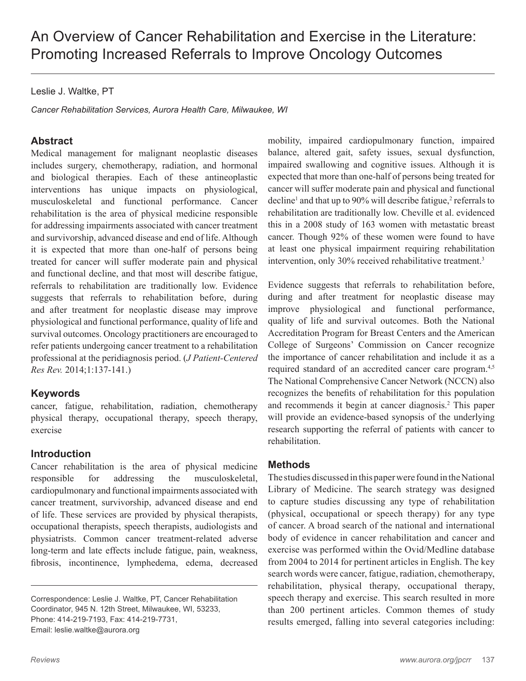Leslie J. Waltke, PT

*Cancer Rehabilitation Services, Aurora Health Care, Milwaukee, WI*

# **Abstract**

Medical management for malignant neoplastic diseases includes surgery, chemotherapy, radiation, and hormonal and biological therapies. Each of these antineoplastic interventions has unique impacts on physiological, musculoskeletal and functional performance. Cancer rehabilitation is the area of physical medicine responsible for addressing impairments associated with cancer treatment and survivorship, advanced disease and end of life. Although it is expected that more than one-half of persons being treated for cancer will suffer moderate pain and physical and functional decline, and that most will describe fatigue, referrals to rehabilitation are traditionally low. Evidence suggests that referrals to rehabilitation before, during and after treatment for neoplastic disease may improve physiological and functional performance, quality of life and survival outcomes. Oncology practitioners are encouraged to refer patients undergoing cancer treatment to a rehabilitation professional at the peridiagnosis period. (*J Patient-Centered Res Rev.* 2014;1:137-141.)

## **Keywords**

cancer, fatigue, rehabilitation, radiation, chemotherapy physical therapy, occupational therapy, speech therapy, exercise

## **Introduction**

Cancer rehabilitation is the area of physical medicine responsible for addressing the musculoskeletal, cardiopulmonary and functional impairments associated with cancer treatment, survivorship, advanced disease and end of life. These services are provided by physical therapists, occupational therapists, speech therapists, audiologists and physiatrists. Common cancer treatment-related adverse long-term and late effects include fatigue, pain, weakness, fibrosis, incontinence, lymphedema, edema, decreased mobility, impaired cardiopulmonary function, impaired balance, altered gait, safety issues, sexual dysfunction, impaired swallowing and cognitive issues. Although it is expected that more than one-half of persons being treated for cancer will suffer moderate pain and physical and functional decline<sup>1</sup> and that up to 90% will describe fatigue,<sup>2</sup> referrals to rehabilitation are traditionally low. Cheville et al. evidenced this in a 2008 study of 163 women with metastatic breast cancer. Though 92% of these women were found to have at least one physical impairment requiring rehabilitation intervention, only 30% received rehabilitative treatment.3

Evidence suggests that referrals to rehabilitation before, during and after treatment for neoplastic disease may improve physiological and functional performance, quality of life and survival outcomes. Both the National Accreditation Program for Breast Centers and the American College of Surgeons' Commission on Cancer recognize the importance of cancer rehabilitation and include it as a required standard of an accredited cancer care program.4,5 The National Comprehensive Cancer Network (NCCN) also recognizes the benefits of rehabilitation for this population and recommends it begin at cancer diagnosis.<sup>2</sup> This paper will provide an evidence-based synopsis of the underlying research supporting the referral of patients with cancer to rehabilitation.

## **Methods**

The studies discussed in this paper were found in the National Library of Medicine. The search strategy was designed to capture studies discussing any type of rehabilitation (physical, occupational or speech therapy) for any type of cancer. A broad search of the national and international body of evidence in cancer rehabilitation and cancer and exercise was performed within the Ovid/Medline database from 2004 to 2014 for pertinent articles in English. The key search words were cancer, fatigue, radiation, chemotherapy, rehabilitation, physical therapy, occupational therapy, speech therapy and exercise. This search resulted in more than 200 pertinent articles. Common themes of study results emerged, falling into several categories including:

Correspondence: Leslie J. Waltke, PT, Cancer Rehabilitation Coordinator, 945 N. 12th Street, Milwaukee, WI, 53233, Phone: 414-219-7193, Fax: 414-219-7731, Email: leslie.waltke@aurora.org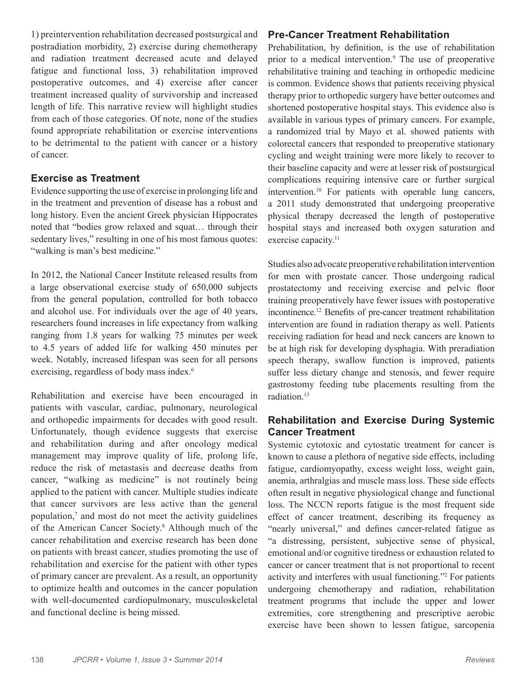1) preintervention rehabilitation decreased postsurgical and postradiation morbidity, 2) exercise during chemotherapy and radiation treatment decreased acute and delayed fatigue and functional loss, 3) rehabilitation improved postoperative outcomes, and 4) exercise after cancer treatment increased quality of survivorship and increased length of life. This narrative review will highlight studies from each of those categories. Of note, none of the studies found appropriate rehabilitation or exercise interventions to be detrimental to the patient with cancer or a history of cancer.

#### **Exercise as Treatment**

Evidence supporting the use of exercise in prolonging life and in the treatment and prevention of disease has a robust and long history. Even the ancient Greek physician Hippocrates noted that "bodies grow relaxed and squat… through their sedentary lives," resulting in one of his most famous quotes: "walking is man's best medicine."

In 2012, the National Cancer Institute released results from a large observational exercise study of 650,000 subjects from the general population, controlled for both tobacco and alcohol use. For individuals over the age of 40 years, researchers found increases in life expectancy from walking ranging from 1.8 years for walking 75 minutes per week to 4.5 years of added life for walking 450 minutes per week. Notably, increased lifespan was seen for all persons exercising, regardless of body mass index.<sup>6</sup>

Rehabilitation and exercise have been encouraged in patients with vascular, cardiac, pulmonary, neurological and orthopedic impairments for decades with good result. Unfortunately, though evidence suggests that exercise and rehabilitation during and after oncology medical management may improve quality of life, prolong life, reduce the risk of metastasis and decrease deaths from cancer, "walking as medicine" is not routinely being applied to the patient with cancer. Multiple studies indicate that cancer survivors are less active than the general population, $\frac{7}{7}$  and most do not meet the activity guidelines of the American Cancer Society.<sup>8</sup> Although much of the cancer rehabilitation and exercise research has been done on patients with breast cancer, studies promoting the use of rehabilitation and exercise for the patient with other types of primary cancer are prevalent. As a result, an opportunity to optimize health and outcomes in the cancer population with well-documented cardiopulmonary, musculoskeletal and functional decline is being missed.

#### **Pre-Cancer Treatment Rehabilitation**

Prehabilitation, by definition, is the use of rehabilitation prior to a medical intervention.<sup>9</sup> The use of preoperative rehabilitative training and teaching in orthopedic medicine is common. Evidence shows that patients receiving physical therapy prior to orthopedic surgery have better outcomes and shortened postoperative hospital stays. This evidence also is available in various types of primary cancers. For example, a randomized trial by Mayo et al. showed patients with colorectal cancers that responded to preoperative stationary cycling and weight training were more likely to recover to their baseline capacity and were at lesser risk of postsurgical complications requiring intensive care or further surgical intervention.10 For patients with operable lung cancers, a 2011 study demonstrated that undergoing preoperative physical therapy decreased the length of postoperative hospital stays and increased both oxygen saturation and exercise capacity.<sup>11</sup>

Studies also advocate preoperative rehabilitation intervention for men with prostate cancer. Those undergoing radical prostatectomy and receiving exercise and pelvic floor training preoperatively have fewer issues with postoperative incontinence.12 Benefits of pre-cancer treatment rehabilitation intervention are found in radiation therapy as well. Patients receiving radiation for head and neck cancers are known to be at high risk for developing dysphagia. With preradiation speech therapy, swallow function is improved, patients suffer less dietary change and stenosis, and fewer require gastrostomy feeding tube placements resulting from the radiation.13

# **Rehabilitation and Exercise During Systemic Cancer Treatment**

Systemic cytotoxic and cytostatic treatment for cancer is known to cause a plethora of negative side effects, including fatigue, cardiomyopathy, excess weight loss, weight gain, anemia, arthralgias and muscle mass loss. These side effects often result in negative physiological change and functional loss. The NCCN reports fatigue is the most frequent side effect of cancer treatment, describing its frequency as "nearly universal," and defines cancer-related fatigue as "a distressing, persistent, subjective sense of physical, emotional and/or cognitive tiredness or exhaustion related to cancer or cancer treatment that is not proportional to recent activity and interferes with usual functioning."2 For patients undergoing chemotherapy and radiation, rehabilitation treatment programs that include the upper and lower extremities, core strengthening and prescriptive aerobic exercise have been shown to lessen fatigue, sarcopenia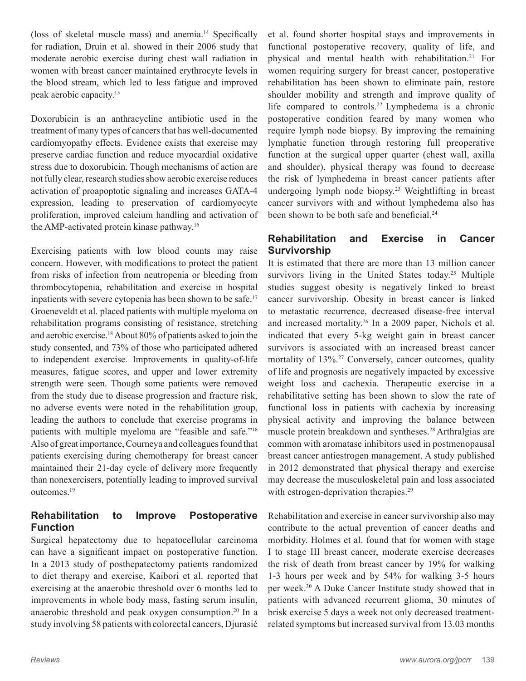(loss of skeletal muscle mass) and anemia.14 Specifically for radiation, Druin et al. showed in their 2006 study that moderate aerobic exercise during chest wall radiation in women with breast cancer maintained erythrocyte levels in the blood stream, which led to less fatigue and improved peak aerobic capacity.15

Doxorubicin is an anthracycline antibiotic used in the treatment of many types of cancers that has well-documented cardiomyopathy effects. Evidence exists that exercise may preserve cardiac function and reduce myocardial oxidative stress due to doxorubicin. Though mechanisms of action are not fully clear, research studies show aerobic exercise reduces activation of proapoptotic signaling and increases GATA-4 expression, leading to preservation of cardiomyocyte proliferation, improved calcium handling and activation of the AMP-activated protein kinase pathway.16

Exercising patients with low blood counts may raise concern. However, with modifications to protect the patient from risks of infection from neutropenia or bleeding from thrombocytopenia, rehabilitation and exercise in hospital inpatients with severe cytopenia has been shown to be safe.<sup>17</sup> Groeneveldt et al. placed patients with multiple myeloma on rehabilitation programs consisting of resistance, stretching and aerobic exercise.18 About 80% of patients asked to join the study consented, and 73% of those who participated adhered to independent exercise. Improvements in quality-of-life measures, fatigue scores, and upper and lower extremity strength were seen. Though some patients were removed from the study due to disease progression and fracture risk, no adverse events were noted in the rehabilitation group, leading the authors to conclude that exercise programs in patients with multiple myeloma are "feasible and safe."18 Also of great importance, Courneya and colleagues found that patients exercising during chemotherapy for breast cancer maintained their 21-day cycle of delivery more frequently than nonexercisers, potentially leading to improved survival outcomes.19

# **Rehabilitation to Improve Postoperative Function**

Surgical hepatectomy due to hepatocellular carcinoma can have a significant impact on postoperative function. In a 2013 study of posthepatectomy patients randomized to diet therapy and exercise, Kaibori et al. reported that exercising at the anaerobic threshold over 6 months led to improvements in whole body mass, fasting serum insulin, anaerobic threshold and peak oxygen consumption.20 In a study involving 58 patients with colorectal cancers, Djurasić

et al. found shorter hospital stays and improvements in functional postoperative recovery, quality of life, and physical and mental health with rehabilitation.21 For women requiring surgery for breast cancer, postoperative rehabilitation has been shown to eliminate pain, restore shoulder mobility and strength and improve quality of life compared to controls.22 Lymphedema is a chronic postoperative condition feared by many women who require lymph node biopsy. By improving the remaining lymphatic function through restoring full preoperative function at the surgical upper quarter (chest wall, axilla and shoulder), physical therapy was found to decrease the risk of lymphedema in breast cancer patients after undergoing lymph node biopsy.23 Weightlifting in breast cancer survivors with and without lymphedema also has been shown to be both safe and beneficial.<sup>24</sup>

## **Rehabilitation and Exercise in Cancer Survivorship**

It is estimated that there are more than 13 million cancer survivors living in the United States today.<sup>25</sup> Multiple studies suggest obesity is negatively linked to breast cancer survivorship. Obesity in breast cancer is linked to metastatic recurrence, decreased disease-free interval and increased mortality.26 In a 2009 paper, Nichols et al. indicated that every 5-kg weight gain in breast cancer survivors is associated with an increased breast cancer mortality of 13%.<sup>27</sup> Conversely, cancer outcomes, quality of life and prognosis are negatively impacted by excessive weight loss and cachexia. Therapeutic exercise in a rehabilitative setting has been shown to slow the rate of functional loss in patients with cachexia by increasing physical activity and improving the balance between muscle protein breakdown and syntheses.28 Arthralgias are common with aromatase inhibitors used in postmenopausal breast cancer antiestrogen management. A study published in 2012 demonstrated that physical therapy and exercise may decrease the musculoskeletal pain and loss associated with estrogen-deprivation therapies.<sup>29</sup>

Rehabilitation and exercise in cancer survivorship also may contribute to the actual prevention of cancer deaths and morbidity. Holmes et al. found that for women with stage I to stage III breast cancer, moderate exercise decreases the risk of death from breast cancer by 19% for walking 1-3 hours per week and by 54% for walking 3-5 hours per week.30 A Duke Cancer Institute study showed that in patients with advanced recurrent glioma, 30 minutes of brisk exercise 5 days a week not only decreased treatmentrelated symptoms but increased survival from 13.03 months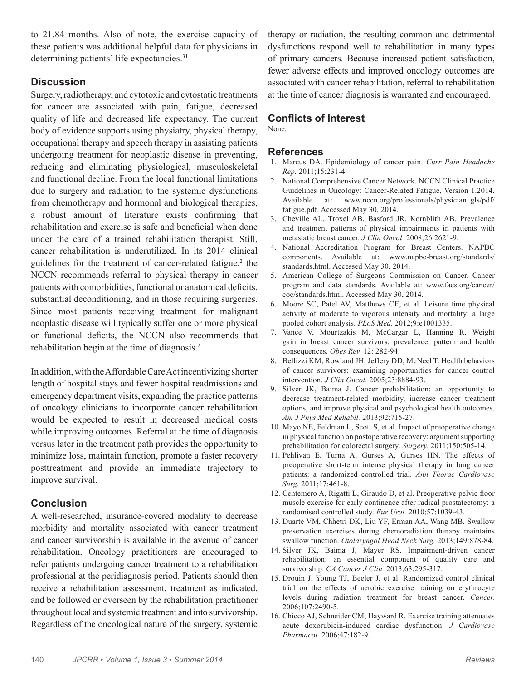to 21.84 months. Also of note, the exercise capacity of these patients was additional helpful data for physicians in determining patients' life expectancies.<sup>31</sup>

## **Discussion**

Surgery, radiotherapy, and cytotoxic and cytostatic treatments for cancer are associated with pain, fatigue, decreased quality of life and decreased life expectancy. The current body of evidence supports using physiatry, physical therapy, occupational therapy and speech therapy in assisting patients undergoing treatment for neoplastic disease in preventing, reducing and eliminating physiological, musculoskeletal and functional decline. From the local functional limitations due to surgery and radiation to the systemic dysfunctions from chemotherapy and hormonal and biological therapies, a robust amount of literature exists confirming that rehabilitation and exercise is safe and beneficial when done under the care of a trained rehabilitation therapist. Still, cancer rehabilitation is underutilized. In its 2014 clinical guidelines for the treatment of cancer-related fatigue, $2$  the NCCN recommends referral to physical therapy in cancer patients with comorbidities, functional or anatomical deficits, substantial deconditioning, and in those requiring surgeries. Since most patients receiving treatment for malignant neoplastic disease will typically suffer one or more physical or functional deficits, the NCCN also recommends that rehabilitation begin at the time of diagnosis.<sup>2</sup>

In addition, with the Affordable Care Act incentivizing shorter length of hospital stays and fewer hospital readmissions and emergency department visits, expanding the practice patterns of oncology clinicians to incorporate cancer rehabilitation would be expected to result in decreased medical costs while improving outcomes. Referral at the time of diagnosis versus later in the treatment path provides the opportunity to minimize loss, maintain function, promote a faster recovery posttreatment and provide an immediate trajectory to improve survival.

# **Conclusion**

A well-researched, insurance-covered modality to decrease morbidity and mortality associated with cancer treatment and cancer survivorship is available in the avenue of cancer rehabilitation. Oncology practitioners are encouraged to refer patients undergoing cancer treatment to a rehabilitation professional at the peridiagnosis period. Patients should then receive a rehabilitation assessment, treatment as indicated, and be followed or overseen by the rehabilitation practitioner throughout local and systemic treatment and into survivorship. Regardless of the oncological nature of the surgery, systemic

therapy or radiation, the resulting common and detrimental dysfunctions respond well to rehabilitation in many types of primary cancers. Because increased patient satisfaction, fewer adverse effects and improved oncology outcomes are associated with cancer rehabilitation, referral to rehabilitation at the time of cancer diagnosis is warranted and encouraged.

# **Conflicts of Interest**

None.

#### **References**

- 1. Marcus DA. Epidemiology of cancer pain. *Curr Pain Headache Rep.* 2011;15:231-4.
- 2. National Comprehensive Cancer Network. NCCN Clinical Practice Guidelines in Oncology: Cancer-Related Fatigue, Version 1.2014. Available at: www.nccn.org/professionals/physician\_gls/pdf/ fatigue.pdf. Accessed May 30, 2014.
- 3. Cheville AL, Troxel AB, Basford JR, Kornblith AB. Prevalence and treatment patterns of physical impairments in patients with metastatic breast cancer. *J Clin Oncol.* 2008;26:2621-9.
- 4. National Accreditation Program for Breast Centers. NAPBC components. Available at: www.napbc-breast.org/standards/ standards.html. Accessed May 30, 2014.
- 5. American College of Surgeons Commission on Cancer. Cancer program and data standards. Available at: www.facs.org/cancer/ coc/standards.html. Accessed May 30, 2014.
- 6. Moore SC, Patel AV, Matthews CE, et al. Leisure time physical activity of moderate to vigorous intensity and mortality: a large pooled cohort analysis. *PLoS Med.* 2012;9:e1001335.
- 7. Vance V, Mourtzakis M, McCargar L, Hanning R. Weight gain in breast cancer survivors: prevalence, pattern and health consequences. *Obes Rev.* 12: 282-94.
- 8. Bellizzi KM, Rowland JH, Jeffery DD, McNeel T. Health behaviors of cancer survivors: examining opportunities for cancer control intervention. *J Clin Oncol.* 2005;23:8884-93.
- 9. Silver JK, Baima J. Cancer prehabilitation: an opportunity to decrease treatment-related morbidity, increase cancer treatment options, and improve physical and psychological health outcomes. *Am J Phys Med Rehabil.* 2013;92:715-27.
- 10. Mayo NE, Feldman L, Scott S, et al. Impact of preoperative change in physical function on postoperative recovery: argument supporting prehabilitation for colorectal surgery. *Surgery.* 2011;150:505-14.
- 11. Pehlivan E, Turna A, Gurses A, Gurses HN. The effects of preoperative short-term intense physical therapy in lung cancer patients: a randomized controlled trial. *Ann Thorac Cardiovasc Surg.* 2011;17:461-8.
- 12. Centemero A, Rigatti L, Giraudo D, et al. Preoperative pelvic floor muscle exercise for early continence after radical prostatectomy: a randomised controlled study. *Eur Urol.* 2010;57:1039-43.
- 13. Duarte VM, Chhetri DK, Liu YF, Erman AA, Wang MB. Swallow preservation exercises during chemoradiation therapy maintains swallow function. *Otolaryngol Head Neck Surg.* 2013;149:878-84.
- 14. Silver JK, Baima J, Mayer RS. Impairment-driven cancer rehabilitation: an essential component of quality care and survivorship. *CA Cancer J Clin.* 2013;63:295-317.
- 15. Drouin J, Young TJ, Beeler J, et al. Randomized control clinical trial on the effects of aerobic exercise training on erythrocyte levels during radiation treatment for breast cancer. *Cancer.* 2006;107:2490-5.
- 16. Chicco AJ, Schneider CM, Hayward R. Exercise training attenuates acute doxorubicin-induced cardiac dysfunction. *J Cardiovasc Pharmacol.* 2006;47:182-9.